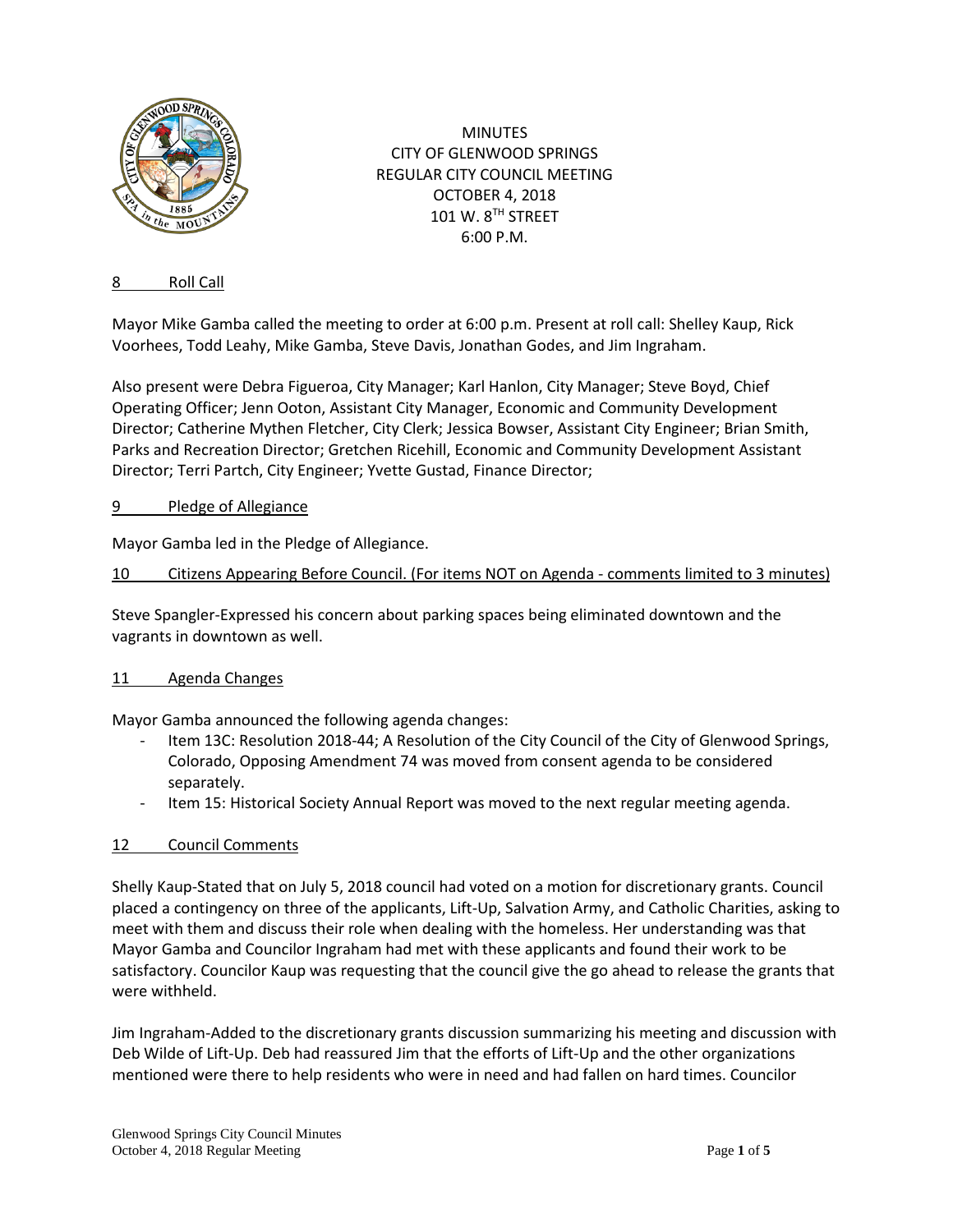

MINUTES CITY OF GLENWOOD SPRINGS REGULAR CITY COUNCIL MEETING OCTOBER 4, 2018 101 W. 8TH STREET 6:00 P.M.

# 8 Roll Call

Mayor Mike Gamba called the meeting to order at 6:00 p.m. Present at roll call: Shelley Kaup, Rick Voorhees, Todd Leahy, Mike Gamba, Steve Davis, Jonathan Godes, and Jim Ingraham.

Also present were Debra Figueroa, City Manager; Karl Hanlon, City Manager; Steve Boyd, Chief Operating Officer; Jenn Ooton, Assistant City Manager, Economic and Community Development Director; Catherine Mythen Fletcher, City Clerk; Jessica Bowser, Assistant City Engineer; Brian Smith, Parks and Recreation Director; Gretchen Ricehill, Economic and Community Development Assistant Director; Terri Partch, City Engineer; Yvette Gustad, Finance Director;

# 9 Pledge of Allegiance

Mayor Gamba led in the Pledge of Allegiance.

# 10 Citizens Appearing Before Council. (For items NOT on Agenda - comments limited to 3 minutes)

Steve Spangler-Expressed his concern about parking spaces being eliminated downtown and the vagrants in downtown as well.

# 11 Agenda Changes

Mayor Gamba announced the following agenda changes:

- Item 13C: Resolution 2018-44; A Resolution of the City Council of the City of Glenwood Springs, Colorado, Opposing Amendment 74 was moved from consent agenda to be considered separately.
- Item 15: Historical Society Annual Report was moved to the next regular meeting agenda.

# 12 Council Comments

Shelly Kaup-Stated that on July 5, 2018 council had voted on a motion for discretionary grants. Council placed a contingency on three of the applicants, Lift-Up, Salvation Army, and Catholic Charities, asking to meet with them and discuss their role when dealing with the homeless. Her understanding was that Mayor Gamba and Councilor Ingraham had met with these applicants and found their work to be satisfactory. Councilor Kaup was requesting that the council give the go ahead to release the grants that were withheld.

Jim Ingraham-Added to the discretionary grants discussion summarizing his meeting and discussion with Deb Wilde of Lift-Up. Deb had reassured Jim that the efforts of Lift-Up and the other organizations mentioned were there to help residents who were in need and had fallen on hard times. Councilor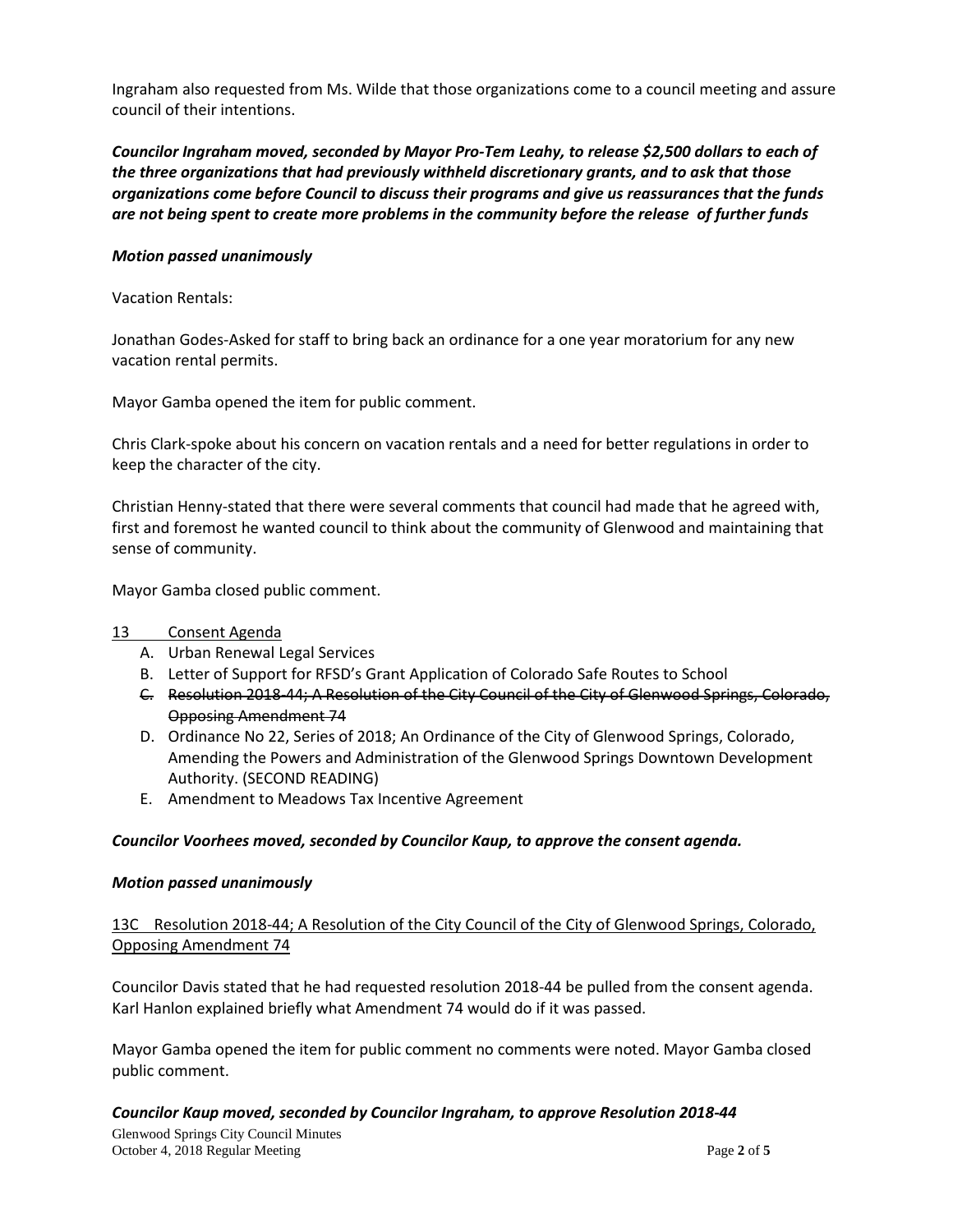Ingraham also requested from Ms. Wilde that those organizations come to a council meeting and assure council of their intentions.

*Councilor Ingraham moved, seconded by Mayor Pro-Tem Leahy, to release \$2,500 dollars to each of the three organizations that had previously withheld discretionary grants, and to ask that those organizations come before Council to discuss their programs and give us reassurances that the funds are not being spent to create more problems in the community before the release of further funds*

# *Motion passed unanimously*

#### Vacation Rentals:

Jonathan Godes-Asked for staff to bring back an ordinance for a one year moratorium for any new vacation rental permits.

Mayor Gamba opened the item for public comment.

Chris Clark-spoke about his concern on vacation rentals and a need for better regulations in order to keep the character of the city.

Christian Henny-stated that there were several comments that council had made that he agreed with, first and foremost he wanted council to think about the community of Glenwood and maintaining that sense of community.

Mayor Gamba closed public comment.

#### 13 Consent Agenda

- A. Urban Renewal Legal Services
- B. Letter of Support for RFSD's Grant Application of Colorado Safe Routes to School
- C. Resolution 2018-44; A Resolution of the City Council of the City of Glenwood Springs, Colorado, Opposing Amendment 74
- D. Ordinance No 22, Series of 2018; An Ordinance of the City of Glenwood Springs, Colorado, Amending the Powers and Administration of the Glenwood Springs Downtown Development Authority. (SECOND READING)
- E. Amendment to Meadows Tax Incentive Agreement

#### *Councilor Voorhees moved, seconded by Councilor Kaup, to approve the consent agenda.*

#### *Motion passed unanimously*

13C Resolution 2018-44; A Resolution of the City Council of the City of Glenwood Springs, Colorado, Opposing Amendment 74

Councilor Davis stated that he had requested resolution 2018-44 be pulled from the consent agenda. Karl Hanlon explained briefly what Amendment 74 would do if it was passed.

Mayor Gamba opened the item for public comment no comments were noted. Mayor Gamba closed public comment.

# *Councilor Kaup moved, seconded by Councilor Ingraham, to approve Resolution 2018-44*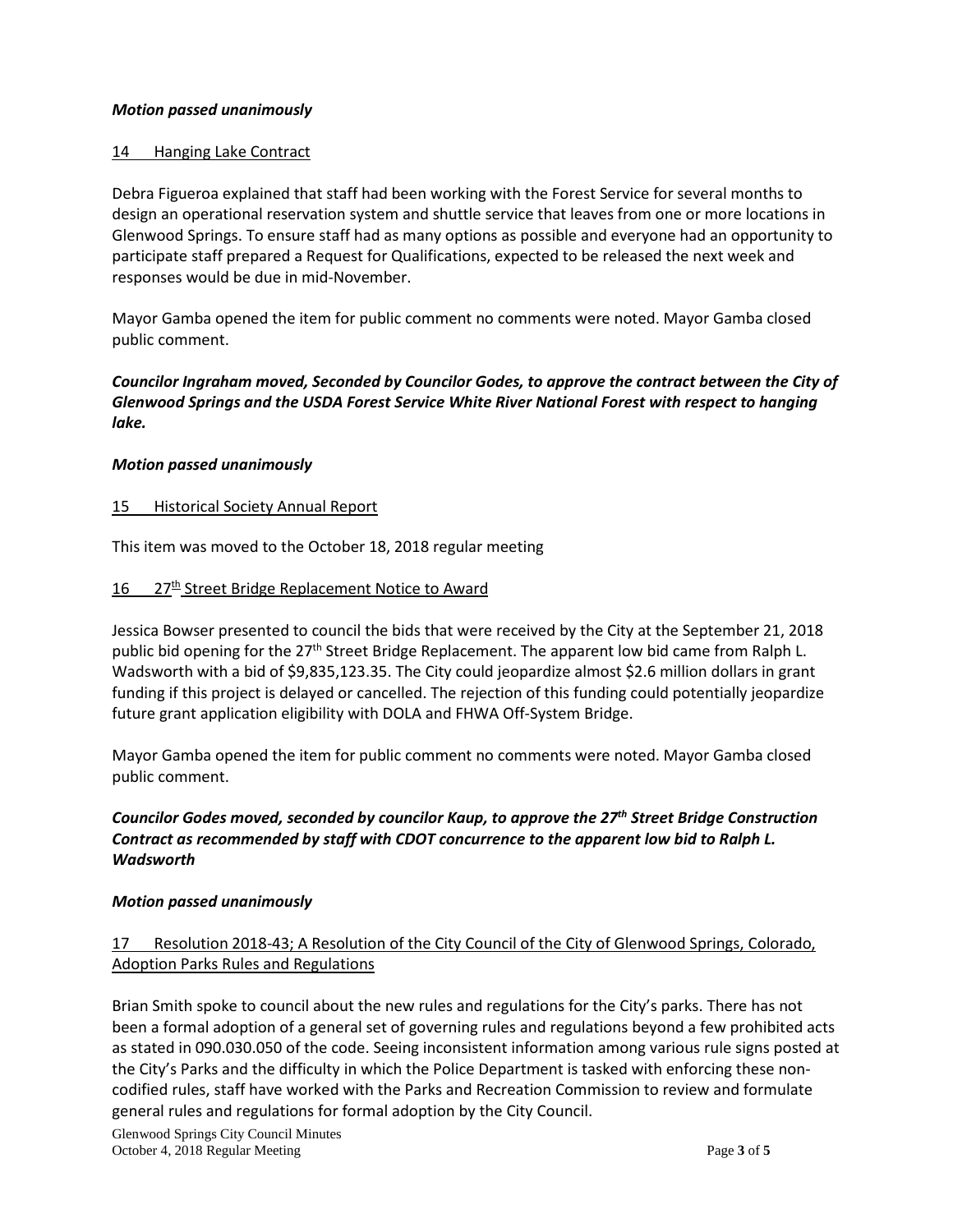# *Motion passed unanimously*

#### 14 Hanging Lake Contract

Debra Figueroa explained that staff had been working with the Forest Service for several months to design an operational reservation system and shuttle service that leaves from one or more locations in Glenwood Springs. To ensure staff had as many options as possible and everyone had an opportunity to participate staff prepared a Request for Qualifications, expected to be released the next week and responses would be due in mid-November.

Mayor Gamba opened the item for public comment no comments were noted. Mayor Gamba closed public comment.

*Councilor Ingraham moved, Seconded by Councilor Godes, to approve the contract between the City of Glenwood Springs and the USDA Forest Service White River National Forest with respect to hanging lake.*

#### *Motion passed unanimously*

#### 15 Historical Society Annual Report

This item was moved to the October 18, 2018 regular meeting

#### 16 27<sup>th</sup> Street Bridge Replacement Notice to Award

Jessica Bowser presented to council the bids that were received by the City at the September 21, 2018 public bid opening for the  $27<sup>th</sup>$  Street Bridge Replacement. The apparent low bid came from Ralph L. Wadsworth with a bid of \$9,835,123.35. The City could jeopardize almost \$2.6 million dollars in grant funding if this project is delayed or cancelled. The rejection of this funding could potentially jeopardize future grant application eligibility with DOLA and FHWA Off-System Bridge.

Mayor Gamba opened the item for public comment no comments were noted. Mayor Gamba closed public comment.

# *Councilor Godes moved, seconded by councilor Kaup, to approve the 27th Street Bridge Construction Contract as recommended by staff with CDOT concurrence to the apparent low bid to Ralph L. Wadsworth*

# *Motion passed unanimously*

# 17 Resolution 2018-43; A Resolution of the City Council of the City of Glenwood Springs, Colorado, Adoption Parks Rules and Regulations

Brian Smith spoke to council about the new rules and regulations for the City's parks. There has not been a formal adoption of a general set of governing rules and regulations beyond a few prohibited acts as stated in 090.030.050 of the code. Seeing inconsistent information among various rule signs posted at the City's Parks and the difficulty in which the Police Department is tasked with enforcing these noncodified rules, staff have worked with the Parks and Recreation Commission to review and formulate general rules and regulations for formal adoption by the City Council.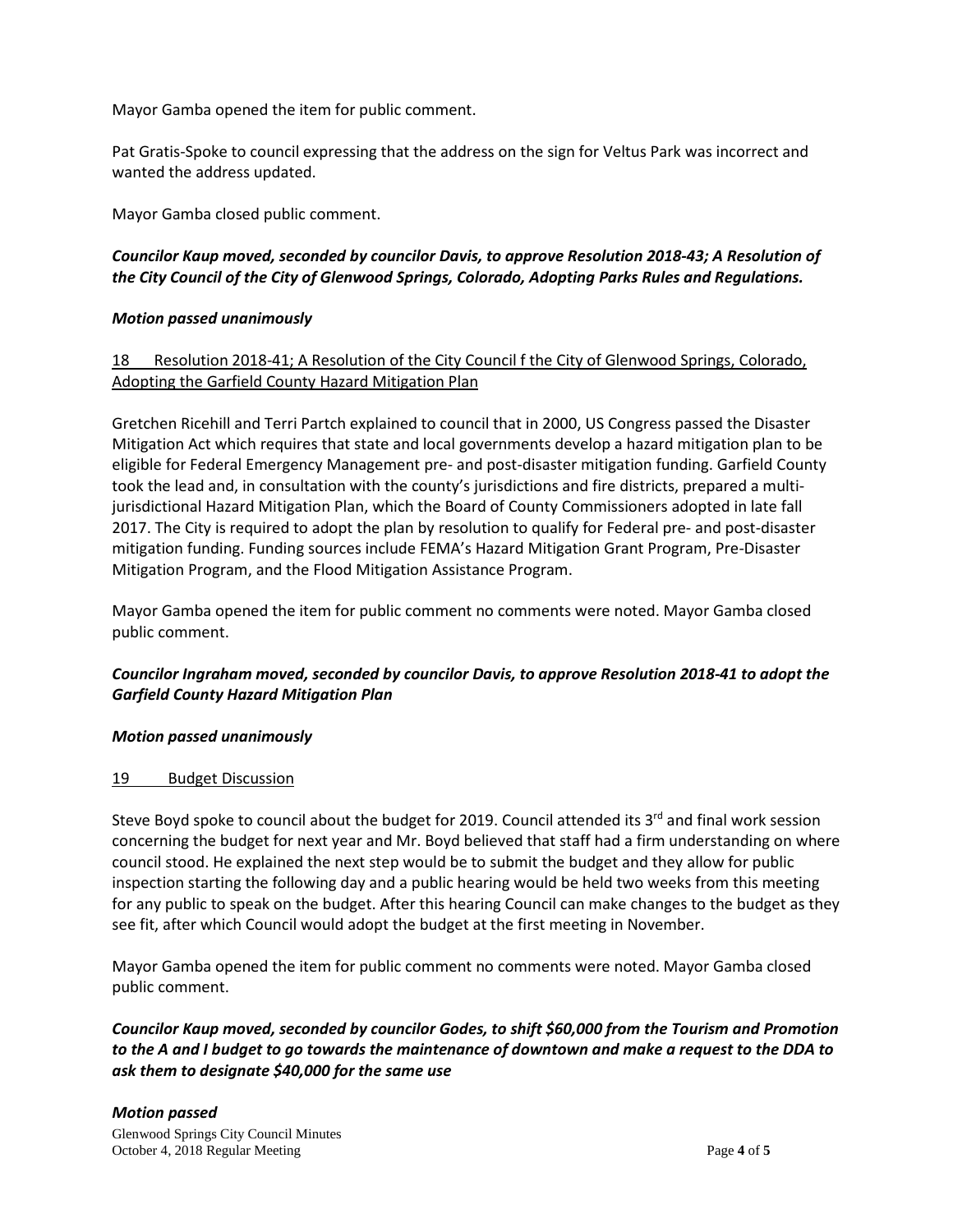Mayor Gamba opened the item for public comment.

Pat Gratis-Spoke to council expressing that the address on the sign for Veltus Park was incorrect and wanted the address updated.

Mayor Gamba closed public comment.

# *Councilor Kaup moved, seconded by councilor Davis, to approve Resolution 2018-43; A Resolution of the City Council of the City of Glenwood Springs, Colorado, Adopting Parks Rules and Regulations.*

# *Motion passed unanimously*

# 18 Resolution 2018-41; A Resolution of the City Council f the City of Glenwood Springs, Colorado, Adopting the Garfield County Hazard Mitigation Plan

Gretchen Ricehill and Terri Partch explained to council that in 2000, US Congress passed the Disaster Mitigation Act which requires that state and local governments develop a hazard mitigation plan to be eligible for Federal Emergency Management pre- and post-disaster mitigation funding. Garfield County took the lead and, in consultation with the county's jurisdictions and fire districts, prepared a multijurisdictional Hazard Mitigation Plan, which the Board of County Commissioners adopted in late fall 2017. The City is required to adopt the plan by resolution to qualify for Federal pre- and post-disaster mitigation funding. Funding sources include FEMA's Hazard Mitigation Grant Program, Pre-Disaster Mitigation Program, and the Flood Mitigation Assistance Program.

Mayor Gamba opened the item for public comment no comments were noted. Mayor Gamba closed public comment.

# *Councilor Ingraham moved, seconded by councilor Davis, to approve Resolution 2018-41 to adopt the Garfield County Hazard Mitigation Plan*

# *Motion passed unanimously*

# 19 Budget Discussion

Steve Boyd spoke to council about the budget for 2019. Council attended its  $3^{rd}$  and final work session concerning the budget for next year and Mr. Boyd believed that staff had a firm understanding on where council stood. He explained the next step would be to submit the budget and they allow for public inspection starting the following day and a public hearing would be held two weeks from this meeting for any public to speak on the budget. After this hearing Council can make changes to the budget as they see fit, after which Council would adopt the budget at the first meeting in November.

Mayor Gamba opened the item for public comment no comments were noted. Mayor Gamba closed public comment.

*Councilor Kaup moved, seconded by councilor Godes, to shift \$60,000 from the Tourism and Promotion to the A and I budget to go towards the maintenance of downtown and make a request to the DDA to ask them to designate \$40,000 for the same use*

# *Motion passed*